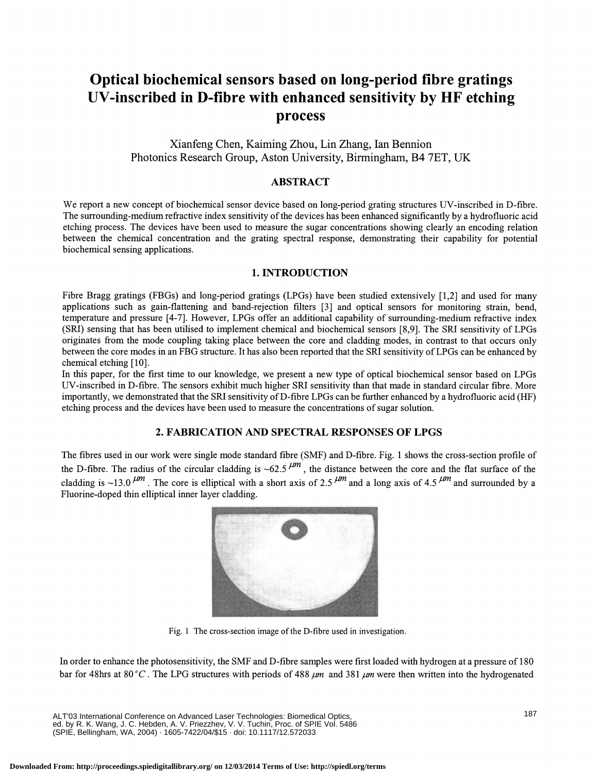# Optical biochemical sensors based on long-period fibre gratings UV-inscribed in D-fibre with enhanced sensitivity by HF etching process

# Xianfeng Chen, Kaiming Zhou, Lin Zhang, Ian Bennion Photonics Research Group, Aston University, Birmingham, B4 7ET, UK

### ABSTRACT

We report a new concept of biochemical sensor device based on long-period grating structures UV-inscribed in D-fibre. The surrounding-medium refractive index sensitivity of the devices has been enhanced significantly by a hydrofluoric acid etching process. The devices have been used to measure the sugar concentrations showing clearly an encoding relation between the chemical concentration and the grating spectral response, demonstrating their capability for potential biochemical sensing applications.

#### 1. INTRODUCTION

Fibre Bragg gratings (FBGs) and long-period gratings (LPGs) have been studied extensively [1,2] and used for many applications such as gain-flattening and band-rejection filters [3] and optical sensors for monitoring strain, bend, temperature and pressure [4-7]. However, LPGs offer an additional capability of surrounding-medium refractive index (SRI) sensing that has been utilised to implement chemical and biochemical sensors [8,9]. The SRIsensitivity of LPGs originates from the mode coupling taking place between the core and cladding modes, in contrast to that occurs only between the core modes in an FBG structure. It has also been reported that the SRI sensitivityof LPGs can be enhanced by chemical etching [10].

In this paper, for the first time to our knowledge, we present a new type of optical biochemical sensor based on LPGs UV-inscribed in D-fibre. The sensors exhibit much higher SRI sensitivity than that made in standard circular fibre. More importantly, we demonstrated that the SRI sensitivityofD-fibre LPGs can be ftirther enhanced by a hydrofluoric acid (HF) etching process and the devices have been used to measure the concentrations of sugar solution.

## 2. FABRICATION AND SPECTRAL RESPONSES OF LPGS

The fibres used in our work were single mode standard fibre (SMF) and D-fibre. Fig. 1 shows the cross-section profile of the D-fibre. The radius of the circular cladding is  $\sim 62.5$   $\mu$ , the distance between the core and the flat surface of the cladding is ~13.0  $\mu$ <sup>m</sup>. The core is elliptical with a short axis of 2.5  $\mu$ <sup>m</sup> and a long axis of 4.5  $\mu$ <sup>m</sup> and surrounded by a Fluorine-doped thin elliptical inner layer cladding.



Fig. 1 The cross-section image of the D-fibre used in investigation.

In order to enhance the photosensitivity, the SMF and D-fibre samples were first loaded with hydrogen at a pressure of 180 bar for 48hrs at 80 °C. The LPG structures with periods of 488  $\mu$ m and 381  $\mu$ m were then written into the hydrogenated

ALT'03 International Conference on Advanced Laser Technologies: Biomedical Optics, ed. by R. K. Wang, J. C. Hebden, A. V. Priezzhev, V. V. Tuchin, Proc. of SPIE Vol. 5486 (SPIE, Bellingham, WA, 2004) · 1605-7422/04/\$15 · doi: 10.1117/12.572033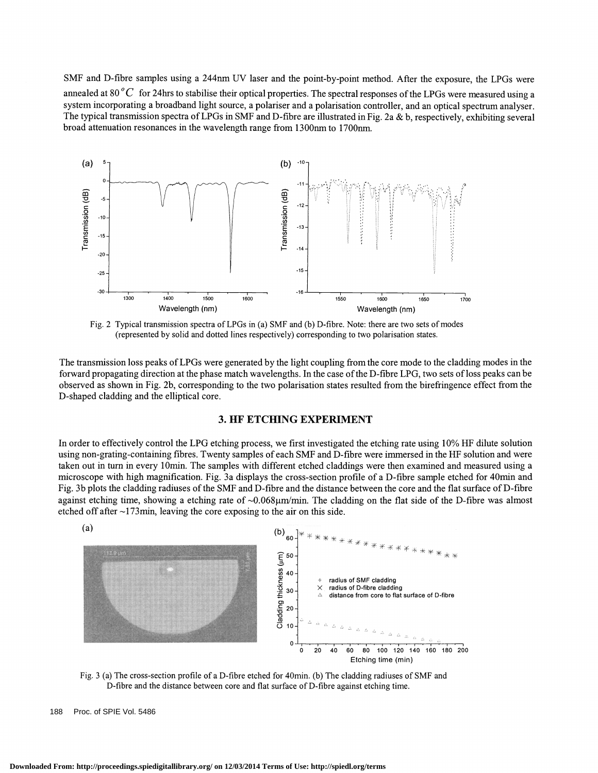SMF and D-fibre samples using a 244nm UV laser and the point-by-point method. After the exposure, the LPGs were annealed at 80 $^{\circ}$ C for 24hrs to stabilise their optical properties. The spectral responses of the LPGs were measured using a system incorporating a broadband light source, a polariser and a polarisation controller, and an optical spectrum analyser. The typical transmission spectra of LPGs in SMF and D-fibre are illustrated in Fig. 2a & b, respectively, exhibiting several broad attenuation resonances in the wavelength range from l300nm to l700nm.



Fig. 2 Typical transmission spectra ofLPGs in (a) SMF and (b) D-fibre. Note: there are two sets of modes (represented by solid and dotted lines respectively) corresponding to two polarisation states.

The transmission loss peaks of LPGs were generated by the light coupling from the core mode to the cladding modes in the forward propagating direction at the phase match wavelengths. In the case ofthe D-fibre LPG, two sets ofloss peaks can be observed as shown in Fig. 2b, corresponding to the two polarisation states resulted from the birefringence effect from the D-shaped cladding and the elliptical core.

## 3. HF ETCHING EXPERIMENT

In order to effectively control the LPG etching process, we first investigated the etching rate using 10% HF dilute solution using non-grating-containing fibres. Twenty samples ofeach SMF and D-fibre were immersed in the HF solution and were taken out in turn in every 10min. The samples with different etched claddings were then examined and measured using a microscope with high magnification. Fig. 3a displays the cross-section profile of a D-fibre sample etched for 40mm and Fig. 3b plots the cladding radiuses of the SMF and D-fibre and the distance between the core and the flat surface of D-fibre against etching time, showing a etching rate of  $\sim 0.068 \mu m/min$ . The cladding on the flat side of the D-fibre was almost etched off after  $\sim$ 173min, leaving the core exposing to the air on this side.



Fig. 3 (a) The cross-section profile of a D-fibre etched for 40mm. (b) The cladding radiuses of SMF and D-fibre and the distance between core and flat surface of D-fibre against etching time.

188 Proc. of SPIE Vol. 5486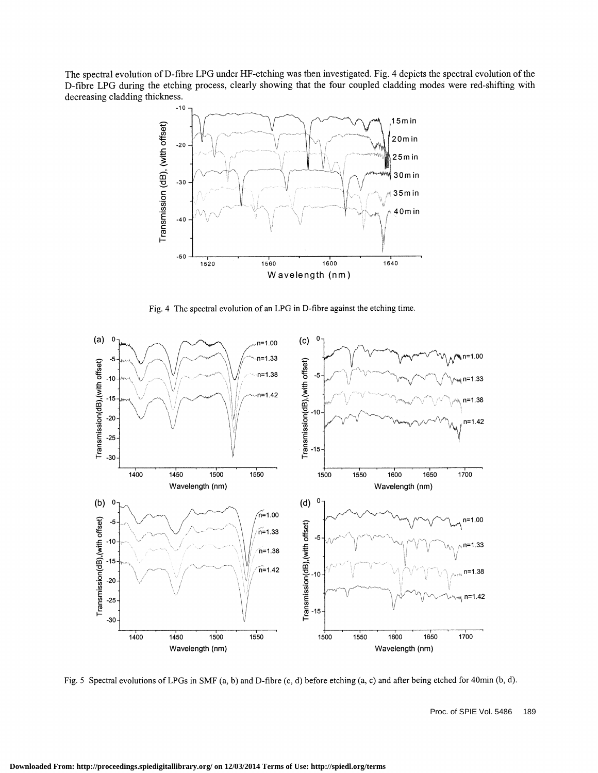The spectral evolution of D-fibre LPG under HF-etching was then investigated. Fig. 4 depicts the spectral evolution of the D-fibre LPG during the etching process, clearly showing that the four coupled cladding modes were red-shifting with decreasing cladding thickness.



Fig. 4 The spectral evolution of an LPG in D-fibre against the etching time.



Fig. 5 Spectral evolutions of LPGs in SMF (a, b) and D-fibre (c, d) before etching (a, c) and after being etched for 40mm (b, d).

Proc. of SPIE Vol. 5486 189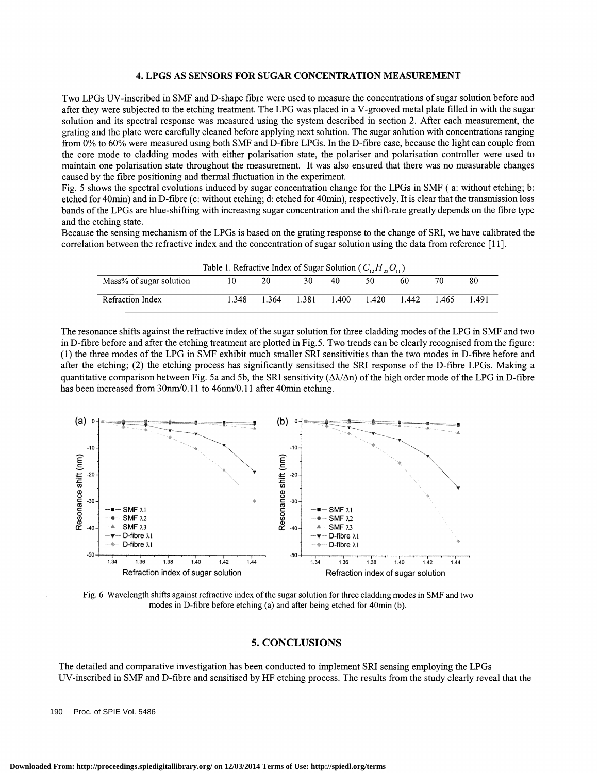#### 4. LPGS AS SENSORS FOR SUGAR CONCENTRATION MEASUREMENT

Two LPGs UV-inscribed in SMF and D-shape fibre were used to measure the concentrations of sugar solution before and after they were subjected to the etching treatment. The LPG was placed in a V-grooved metal plate filled in with the sugar solution and its spectral response was measured using the system described in section 2. After each measurement, the grating and the plate were carefully cleaned before applying next solution. The sugar solution with concentrations ranging from 0% to 60% were measured using both SMF and D-fibre LPGs. In the D-fibre case, because the light can couple from the core mode to cladding modes with either polarisation state, the polariser and polarisation controller were used to maintain one polarisation state throughout the measurement. It was also ensured that there was no measurable changes caused by the fibre positioning and thermal fluctuation in the experiment.

Fig. 5 shows the spectral evolutions induced by sugar concentration change for the LPGs in SMF (a: without etching; b: etched for 40mm) and in D-fibre (c: without etching; d: etched for 40mm), respectively. It is clear that the transmission loss bands ofthe LPGs are blue-shifting with increasing sugar concentration and the shift-rate greatly depends on the fibre type and the etching state.

Because the sensing mechanism of the LPGs is based on the grating response to the change of SRI, we have calibrated the correlation between the refractive index and the concentration of sugar solution using the data from reference [11].

| Table 1. Refractive Index of Sugar Solution ( $C_1, H_2, O_1$ ) |       |       |       |       |       |       |      |       |
|-----------------------------------------------------------------|-------|-------|-------|-------|-------|-------|------|-------|
| Mass% of sugar solution                                         | 10    | 20    | 30.   | 40    | 50    | 60    | 70   | 80    |
| Refraction Index                                                | 1.348 | 1.364 | 1.381 | 1.400 | 1.420 | 1.442 | .465 | 1.491 |

The resonance shifts against the refractive index of the sugar solution for three cladding modes of the LPG in SMF and two in D-fibre before and after the etching treatment are plotted in Fig.5. Two trends can be clearly recognised from the figure: (1) the three modes of the LPG in SMF exhibit much smaller SRI sensitivities than the two modes in D-fibre before and after the etching; (2) the etching process has significantly sensitised the SRI response of the D-fibre LPGs. Making a quantitative comparison between Fig. 5a and 5b, the SRI sensitivity ( $\Delta\lambda/\Delta n$ ) of the high order mode of the LPG in D-fibre has been increased from 30nm/0.11 to 46nm/0.11 after 40min etching.



Fig. 6 Wavelength shifts against refractive index of the sugar solution for three cladding modes in SMF and two modes in D-fibre before etching (a) and after being etched for 40min (b).

#### 5. CONCLUSIONS

The detailed and comparative investigation has been conducted to implement SRI sensing employing the LPGs UV-inscribed in SMF and D-fibre and sensitised by HF etching process. The results from the study clearly reveal that the

190 Proc. of SPIE Vol. 5486